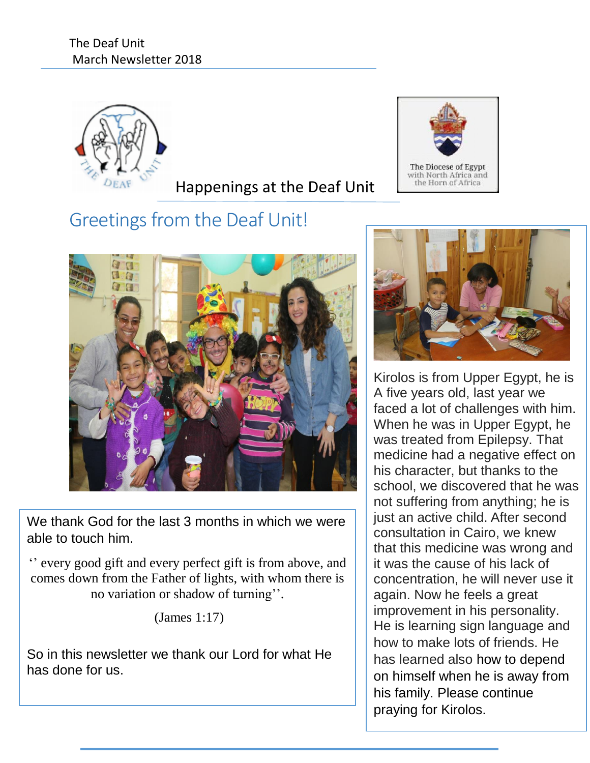

# Happenings at the Deaf Unit

# Greetings from the Deaf Unit!



We thank God for the last 3 months in which we were able to touch him.

'' every good gift and every perfect gift is from above, and comes down from the Father of lights, with whom there is no variation or shadow of turning''.

(James 1:17)

So in this newsletter we thank our Lord for what He has done for us.





Kirolos is from Upper Egypt, he is A five years old, last year we faced a lot of challenges with him. When he was in Upper Egypt, he was treated from Epilepsy. That medicine had a negative effect on his character, but thanks to the school, we discovered that he was not suffering from anything; he is just an active child. After second consultation in Cairo, we knew that this medicine was wrong and it was the cause of his lack of concentration, he will never use it again. Now he feels a great improvement in his personality. He is learning sign language and how to make lots of friends. He has learned also how to depend on himself when he is away from his family. Please continue praying for Kirolos.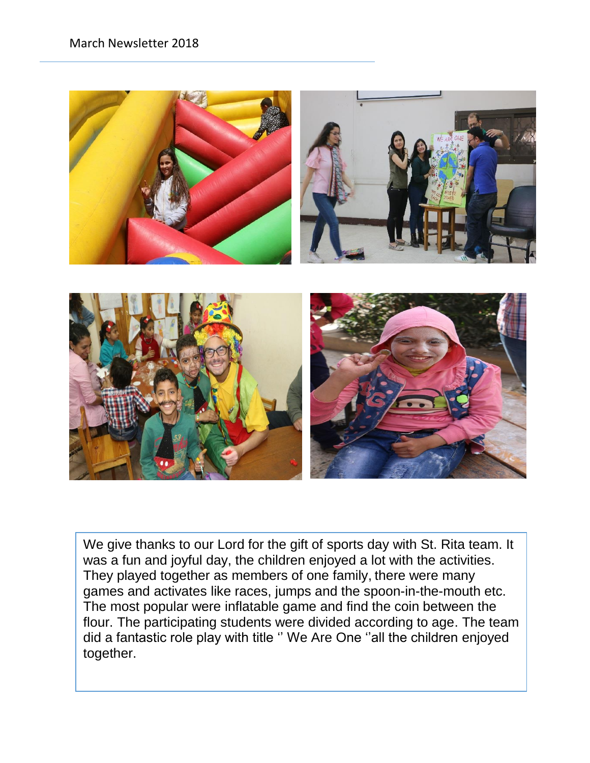

We give thanks to our Lord for the gift of sports day with St. Rita team. It was a fun and joyful day, the children enjoyed a lot with the activities. They played together as members of one family, there were many games and activates like races, jumps and the spoon-in-the-mouth etc. The most popular were inflatable game and find the coin between the flour. The participating students were divided according to age. The team did a fantastic role play with title '' We Are One ''all the children enjoyed together.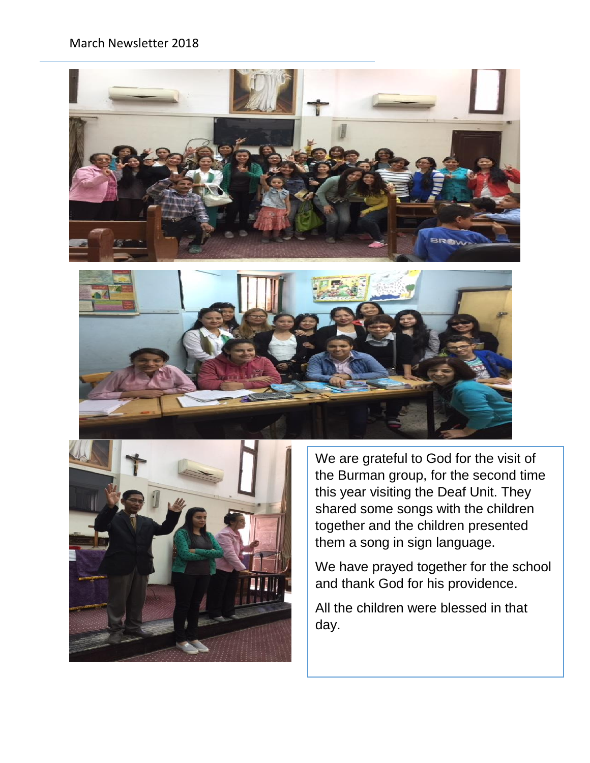#### March Newsletter 2018







We are grateful to God for the visit of the Burman group, for the second time this year visiting the Deaf Unit. They shared some songs with the children together and the children presented them a song in sign language.

We have prayed together for the school and thank God for his providence.

All the children were blessed in that day.